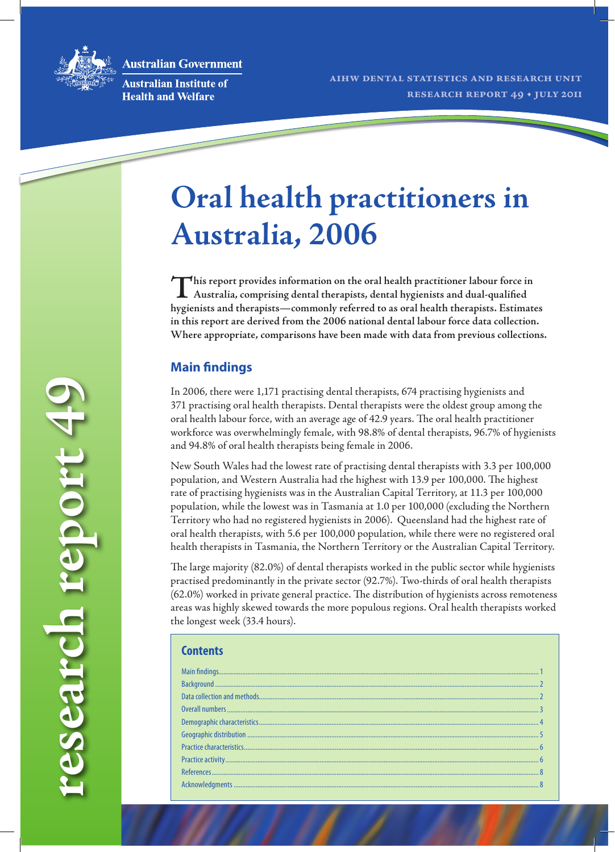**Australian Government** 



**Australian Institute of Health and Welfare** 

# **Oral health practitioners in Australia, 2006**

This report provides information on the oral health practitioner labour force in <br>Australia, comprising dental therapists, dental hygienists and dual-qualified **hygienists and therapists—commonly referred to as oral health therapists. Estimates in this report are derived from the 2006 national dental labour force data collection. Where appropriate, comparisons have been made with data from previous collections.**

# **Main findings**

In 2006, there were 1,171 practising dental therapists, 674 practising hygienists and 371 practising oral health therapists. Dental therapists were the oldest group among the oral health labour force, with an average age of 42.9 years. The oral health practitioner workforce was overwhelmingly female, with 98.8% of dental therapists, 96.7% of hygienists and 94.8% of oral health therapists being female in 2006.

New South Wales had the lowest rate of practising dental therapists with 3.3 per 100,000 population, and Western Australia had the highest with 13.9 per 100,000. The highest rate of practising hygienists was in the Australian Capital Territory, at 11.3 per 100,000 population, while the lowest was in Tasmania at 1.0 per 100,000 (excluding the Northern Territory who had no registered hygienists in 2006). Queensland had the highest rate of oral health therapists, with 5.6 per 100,000 population, while there were no registered oral health therapists in Tasmania, the Northern Territory or the Australian Capital Territory.

The large majority (82.0%) of dental therapists worked in the public sector while hygienists practised predominantly in the private sector (92.7%). Two-thirds of oral health therapists (62.0%) worked in private general practice. The distribution of hygienists across remoteness areas was highly skewed towards the more populous regions. Oral health therapists worked the longest week (33.4 hours).

| Contents |  |
|----------|--|
|          |  |
|          |  |
|          |  |
|          |  |
|          |  |
|          |  |
|          |  |
|          |  |
|          |  |
|          |  |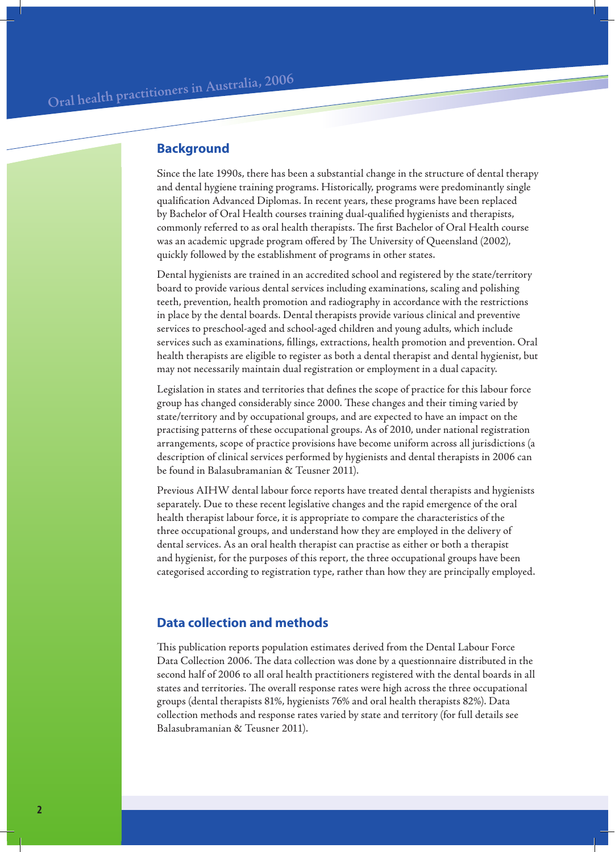## **Background**

Since the late 1990s, there has been a substantial change in the structure of dental therapy and dental hygiene training programs. Historically, programs were predominantly single qualification Advanced Diplomas. In recent years, these programs have been replaced by Bachelor of Oral Health courses training dual-qualified hygienists and therapists, commonly referred to as oral health therapists. The first Bachelor of Oral Health course was an academic upgrade program offered by The University of Queensland (2002), quickly followed by the establishment of programs in other states.

Dental hygienists are trained in an accredited school and registered by the state/territory board to provide various dental services including examinations, scaling and polishing teeth, prevention, health promotion and radiography in accordance with the restrictions in place by the dental boards. Dental therapists provide various clinical and preventive services to preschool-aged and school-aged children and young adults, which include services such as examinations, fillings, extractions, health promotion and prevention. Oral health therapists are eligible to register as both a dental therapist and dental hygienist, but may not necessarily maintain dual registration or employment in a dual capacity.

Legislation in states and territories that defines the scope of practice for this labour force group has changed considerably since 2000. These changes and their timing varied by state/territory and by occupational groups, and are expected to have an impact on the practising patterns of these occupational groups. As of 2010, under national registration arrangements, scope of practice provisions have become uniform across all jurisdictions (a description of clinical services performed by hygienists and dental therapists in 2006 can be found in Balasubramanian & Teusner 2011).

Previous AIHW dental labour force reports have treated dental therapists and hygienists separately. Due to these recent legislative changes and the rapid emergence of the oral health therapist labour force, it is appropriate to compare the characteristics of the three occupational groups, and understand how they are employed in the delivery of dental services. As an oral health therapist can practise as either or both a therapist and hygienist, for the purposes of this report, the three occupational groups have been categorised according to registration type, rather than how they are principally employed.

#### **Data collection and methods**

This publication reports population estimates derived from the Dental Labour Force Data Collection 2006. The data collection was done by a questionnaire distributed in the second half of 2006 to all oral health practitioners registered with the dental boards in all states and territories. The overall response rates were high across the three occupational groups (dental therapists 81%, hygienists 76% and oral health therapists 82%). Data collection methods and response rates varied by state and territory (for full details see Balasubramanian & Teusner 2011).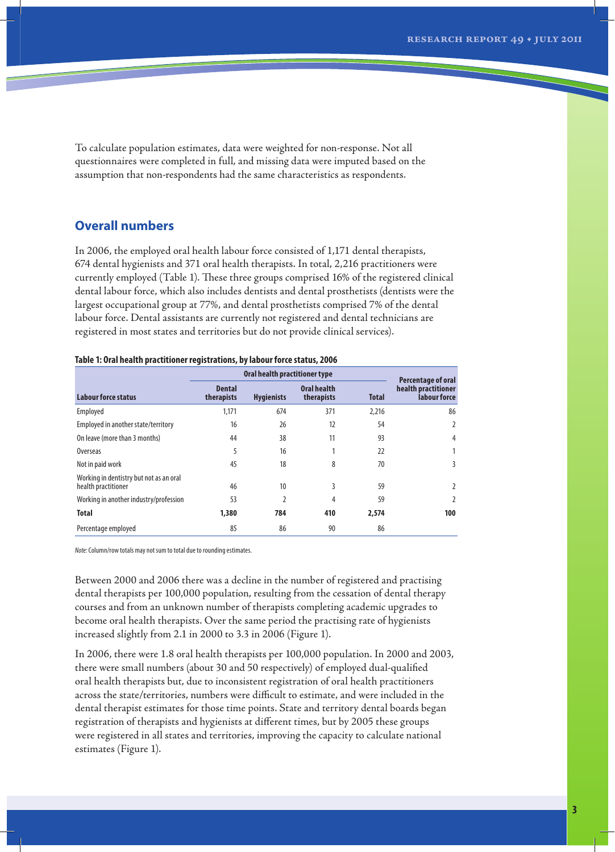To calculate population estimates, data were weighted for non-response. Not all questionnaires were completed in full, and missing data were imputed based on the assumption that non-respondents had the same characteristics as respondents.

#### **Overall numbers**

In 2006, the employed oral health labour force consisted of 1,171 dental therapists, 674 dental hygienists and 371 oral health therapists. In total, 2,216 practitioners were currently employed (Table 1). These three groups comprised 16% of the registered clinical dental labour force, which also includes dentists and dental prosthetists (dentists were the largest occupational group at 77%, and dental prosthetists comprised 7% of the dental labour force. Dental assistants are currently not registered and dental technicians are registered in most states and territories but do not provide clinical services).

#### **Table 1: Oral health practitioner registrations, by labour force status, 2006**

|                                                                | Oral health practitioner type | Percentage of oral |                                  |              |                                     |
|----------------------------------------------------------------|-------------------------------|--------------------|----------------------------------|--------------|-------------------------------------|
| Labour force status                                            | <b>Dental</b><br>therapists   | <b>Hygienists</b>  | <b>Oral health</b><br>therapists | <b>Total</b> | health practitioner<br>labour force |
| Employed                                                       | 1,171                         | 674                | 371                              | 2,216        | 86                                  |
| Employed in another state/territory                            | 16                            | 26                 | 12                               | 54           | 2                                   |
| On leave (more than 3 months)                                  | 44                            | 38                 | 11                               | 93           | 4                                   |
| Overseas                                                       | 5                             | 16                 |                                  | 22           | 1                                   |
| Not in paid work                                               | 45                            | 18                 | 8                                | 70           | 3                                   |
| Working in dentistry but not as an oral<br>health practitioner | 46                            | 10                 | 3                                | 59           | $\overline{2}$                      |
| Working in another industry/profession                         | 53                            | $\overline{2}$     | 4                                | 59           | $\overline{2}$                      |
| <b>Total</b>                                                   | 1,380                         | 784                | 410                              | 2,574        | 100                                 |
| Percentage employed                                            | 85                            | 86                 | 90                               | 86           |                                     |

*Note:* Column/row totals may not sum to total due to rounding estimates.

Between 2000 and 2006 there was a decline in the number of registered and practising dental therapists per 100,000 population, resulting from the cessation of dental therapy courses and from an unknown number of therapists completing academic upgrades to become oral health therapists. Over the same period the practising rate of hygienists increased slightly from 2.1 in 2000 to 3.3 in 2006 (Figure 1).

In 2006, there were 1.8 oral health therapists per 100,000 population. In 2000 and 2003, there were small numbers (about 30 and 50 respectively) of employed dual-qualified oral health therapists but, due to inconsistent registration of oral health practitioners across the state/territories, numbers were difficult to estimate, and were included in the dental therapist estimates for those time points. State and territory dental boards began registration of therapists and hygienists at different times, but by 2005 these groups were registered in all states and territories, improving the capacity to calculate national estimates (Figure 1).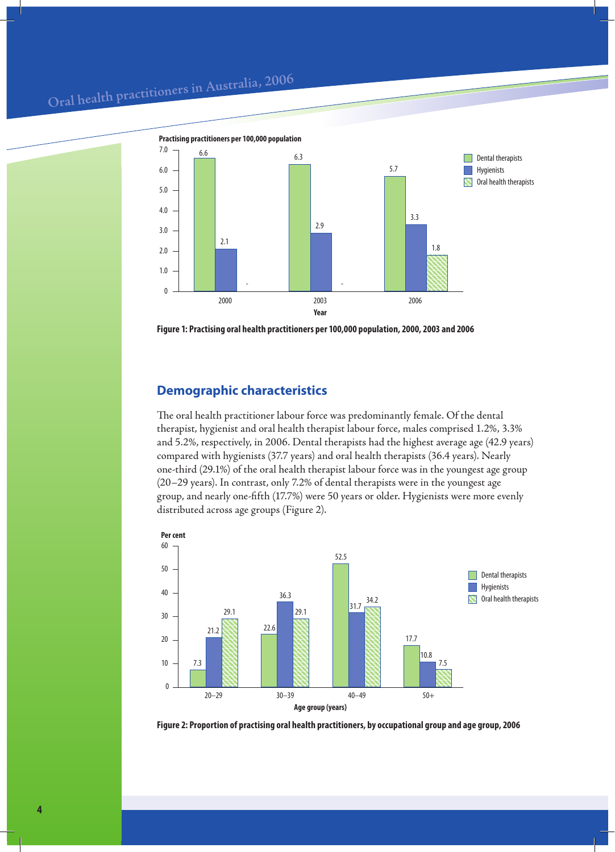# Oral health practitioners in Australia, 2006



**Figure 1: Practising oral health practitioners per 100,000 population, 2000, 2003 and 2006**

## **Demographic characteristics**

The oral health practitioner labour force was predominantly female. Of the dental therapist, hygienist and oral health therapist labour force, males comprised 1.2%, 3.3% and 5.2%, respectively, in 2006. Dental therapists had the highest average age (42.9 years) compared with hygienists (37.7 years) and oral health therapists (36.4 years). Nearly one-third (29.1%) of the oral health therapist labour force was in the youngest age group (20–29 years). In contrast, only 7.2% of dental therapists were in the youngest age group, and nearly one-fifth (17.7%) were 50 years or older. Hygienists were more evenly distributed across age groups (Figure 2).



**Figure 2: Proportion of practising oral health practitioners, by occupational group and age group, 2006**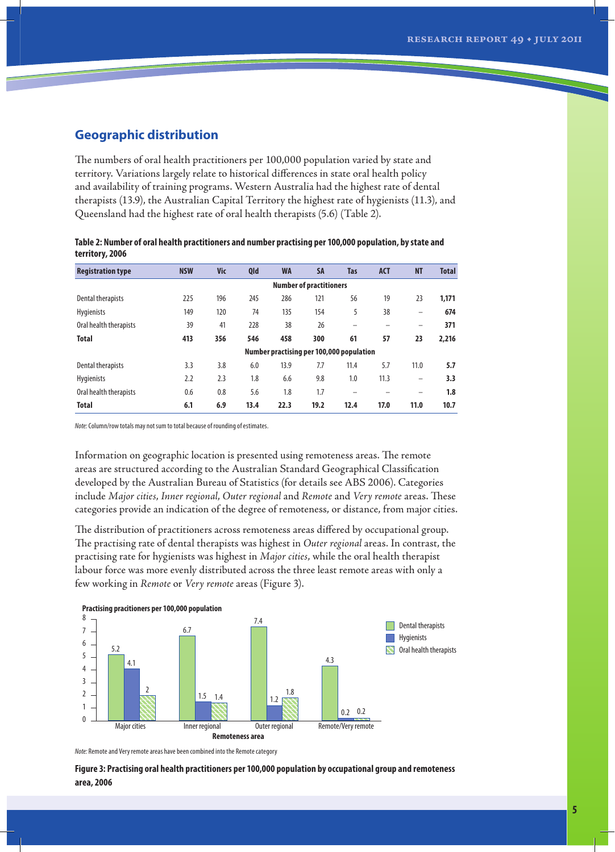## **Geographic distribution**

The numbers of oral health practitioners per 100,000 population varied by state and territory. Variations largely relate to historical differences in state oral health policy and availability of training programs. Western Australia had the highest rate of dental therapists (13.9), the Australian Capital Territory the highest rate of hygienists (11.3), and Queensland had the highest rate of oral health therapists (5.6) (Table 2).

| Table 2: Number of oral health practitioners and number practising per 100,000 population, by state and |               |  |  |  |  |  |    |  |  |
|---------------------------------------------------------------------------------------------------------|---------------|--|--|--|--|--|----|--|--|
| territory, 2006                                                                                         |               |  |  |  |  |  |    |  |  |
| Dominiuntion tuno                                                                                       | <b>NICIAL</b> |  |  |  |  |  | MT |  |  |

| <b>Registration type</b> | <b>NSW</b>                               | <b>Vic</b> | Qld  | <b>WA</b> | <b>SA</b>                      | <b>Tas</b>               | <b>ACT</b> | <b>NT</b> | <b>Total</b> |
|--------------------------|------------------------------------------|------------|------|-----------|--------------------------------|--------------------------|------------|-----------|--------------|
|                          |                                          |            |      |           | <b>Number of practitioners</b> |                          |            |           |              |
| Dental therapists        | 225                                      | 196        | 245  | 286       | 121                            | 56                       | 19         | 23        | 1,171        |
| <b>Hygienists</b>        | 149                                      | 120        | 74   | 135       | 154                            | 5                        | 38         |           | 674          |
| Oral health therapists   | 39                                       | 41         | 228  | 38        | 26                             | -                        |            | -         | 371          |
| <b>Total</b>             | 413                                      | 356        | 546  | 458       | 300                            | 61                       | 57         | 23        | 2,216        |
|                          | Number practising per 100,000 population |            |      |           |                                |                          |            |           |              |
| Dental therapists        | 3.3                                      | 3.8        | 6.0  | 13.9      | 7.7                            | 11.4                     | 5.7        | 11.0      | 5.7          |
| <b>Hygienists</b>        | 2.2                                      | 2.3        | 1.8  | 6.6       | 9.8                            | 1.0                      | 11.3       | -         | 3.3          |
| Oral health therapists   | 0.6                                      | 0.8        | 5.6  | 1.8       | 1.7                            | $\overline{\phantom{0}}$ |            |           | 1.8          |
| <b>Total</b>             | 6.1                                      | 6.9        | 13.4 | 22.3      | 19.2                           | 12.4                     | 17.0       | 11.0      | 10.7         |

*Note:* Column/row totals may not sum to total because of rounding of estimates.

Information on geographic location is presented using remoteness areas. The remote areas are structured according to the Australian Standard Geographical Classification developed by the Australian Bureau of Statistics (for details see ABS 2006). Categories include *Major cities*, *Inner regional*, *Outer regional* and *Remote* and *Very remote* areas. These categories provide an indication of the degree of remoteness, or distance, from major cities.

The distribution of practitioners across remoteness areas differed by occupational group. The practising rate of dental therapists was highest in *Outer regional* areas. In contrast, the practising rate for hygienists was highest in *Major cities*, while the oral health therapist labour force was more evenly distributed across the three least remote areas with only a few working in *Remote* or *Very remote* areas (Figure 3).



*Note:* Remote and Very remote areas have been combined into the Remote category

**Figure 3: Practising oral health practitioners per 100,000 population by occupational group and remoteness area, 2006**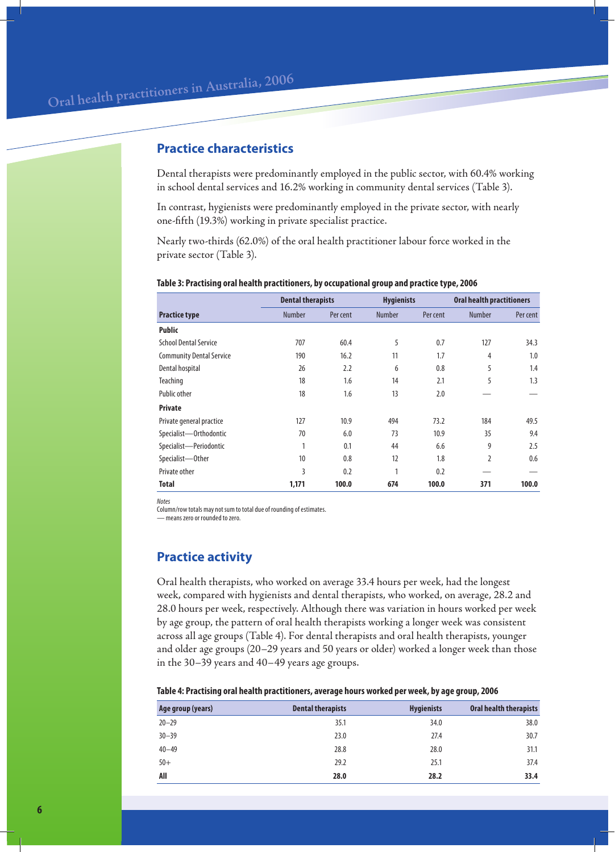#### **Practice characteristics**

Dental therapists were predominantly employed in the public sector, with 60.4% working in school dental services and 16.2% working in community dental services (Table 3).

In contrast, hygienists were predominantly employed in the private sector, with nearly one-fifth (19.3%) working in private specialist practice.

Nearly two-thirds (62.0%) of the oral health practitioner labour force worked in the private sector (Table 3).

|                                 | <b>Dental therapists</b> |          | <b>Hygienists</b> |          | <b>Oral health practitioners</b> |          |
|---------------------------------|--------------------------|----------|-------------------|----------|----------------------------------|----------|
| <b>Practice type</b>            | <b>Number</b>            | Per cent | <b>Number</b>     | Per cent | <b>Number</b>                    | Per cent |
| <b>Public</b>                   |                          |          |                   |          |                                  |          |
| <b>School Dental Service</b>    | 707                      | 60.4     | 5                 | 0.7      | 127                              | 34.3     |
| <b>Community Dental Service</b> | 190                      | 16.2     | 11                | 1.7      | 4                                | 1.0      |
| Dental hospital                 | 26                       | 2.2      | 6                 | 0.8      | 5                                | 1.4      |
| Teaching                        | 18                       | 1.6      | 14                | 2.1      | 5                                | 1.3      |
| <b>Public other</b>             | 18                       | 1.6      | 13                | 2.0      |                                  |          |
| <b>Private</b>                  |                          |          |                   |          |                                  |          |
| Private general practice        | 127                      | 10.9     | 494               | 73.2     | 184                              | 49.5     |
| Specialist-Orthodontic          | 70                       | 6.0      | 73                | 10.9     | 35                               | 9.4      |
| Specialist-Periodontic          |                          | 0.1      | 44                | 6.6      | 9                                | 2.5      |
| Specialist-Other                | 10                       | 0.8      | 12                | 1.8      | $\overline{2}$                   | 0.6      |
| Private other                   | 3                        | 0.2      | 1                 | 0.2      |                                  |          |
| Total                           | 1,171                    | 100.0    | 674               | 100.0    | 371                              | 100.0    |

#### **Table 3: Practising oral health practitioners, by occupational group and practice type, 2006**

*Notes* 

Column/row totals may not sum to total due of rounding of estimates.

— means zero or rounded to zero.

## **Practice activity**

Oral health therapists, who worked on average 33.4 hours per week, had the longest week, compared with hygienists and dental therapists, who worked, on average, 28.2 and 28.0 hours per week, respectively. Although there was variation in hours worked per week by age group, the pattern of oral health therapists working a longer week was consistent across all age groups (Table 4). For dental therapists and oral health therapists, younger and older age groups (20–29 years and 50 years or older) worked a longer week than those in the 30–39 years and 40–49 years age groups.

#### **Table 4: Practising oral health practitioners, average hours worked per week, by age group, 2006**

| Age group (years) | <b>Dental therapists</b> | <b>Hygienists</b> | <b>Oral health therapists</b> |
|-------------------|--------------------------|-------------------|-------------------------------|
| $20 - 29$         | 35.1                     | 34.0              | 38.0                          |
| $30 - 39$         | 23.0                     | 27.4              | 30.7                          |
| $40 - 49$         | 28.8                     | 28.0              | 31.1                          |
| $50+$             | 29.2                     | 25.1              | 37.4                          |
| All               | 28.0                     | 28.2              | 33.4                          |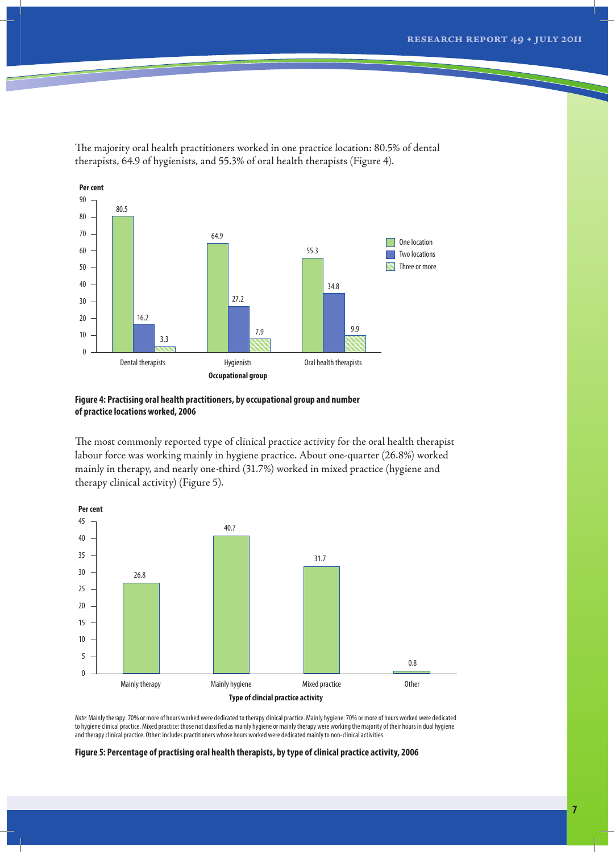

The majority oral health practitioners worked in one practice location: 80.5% of dental therapists, 64.9 of hygienists, and 55.3% of oral health therapists (Figure 4).



The most commonly reported type of clinical practice activity for the oral health therapist labour force was working mainly in hygiene practice. About one-quarter (26.8%) worked mainly in therapy, and nearly one-third (31.7%) worked in mixed practice (hygiene and therapy clinical activity) (Figure 5).



*Note:* Mainly therapy: 70% or more of hours worked were dedicated to therapy clinical practice. Mainly hygiene: 70% or more of hours worked were dedicated to hygiene clinical practice. Mixed practice: those not classified as mainly hygiene or mainly therapy were working the majority of their hours in dual hygiene and therapy clinical practice. Other: includes practitioners whose hours worked were dedicated mainly to non-clinical activities.

**Figure 5: Percentage of practising oral health therapists, by type of clinical practice activity, 2006**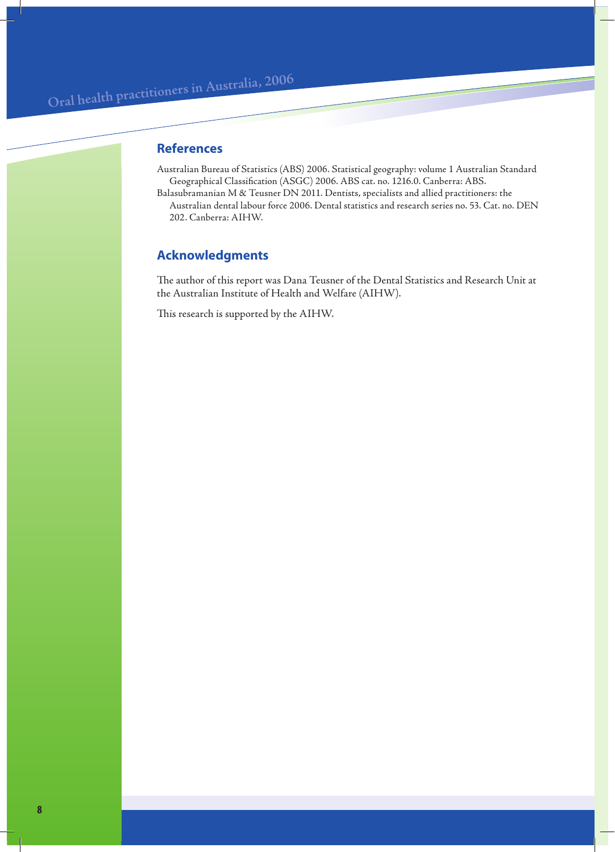# **References**

- Australian Bureau of Statistics (ABS) 2006. Statistical geography: volume 1 Australian Standard Geographical Classification (ASGC) 2006. ABS cat. no. 1216.0. Canberra: ABS.
- Balasubramanian M & Teusner DN 2011. Dentists, specialists and allied practitioners: the Australian dental labour force 2006. Dental statistics and research series no. 53. Cat. no. DEN 202. Canberra: AIHW.

# **Acknowledgments**

The author of this report was Dana Teusner of the Dental Statistics and Research Unit at the Australian Institute of Health and Welfare (AIHW).

This research is supported by the AIHW.